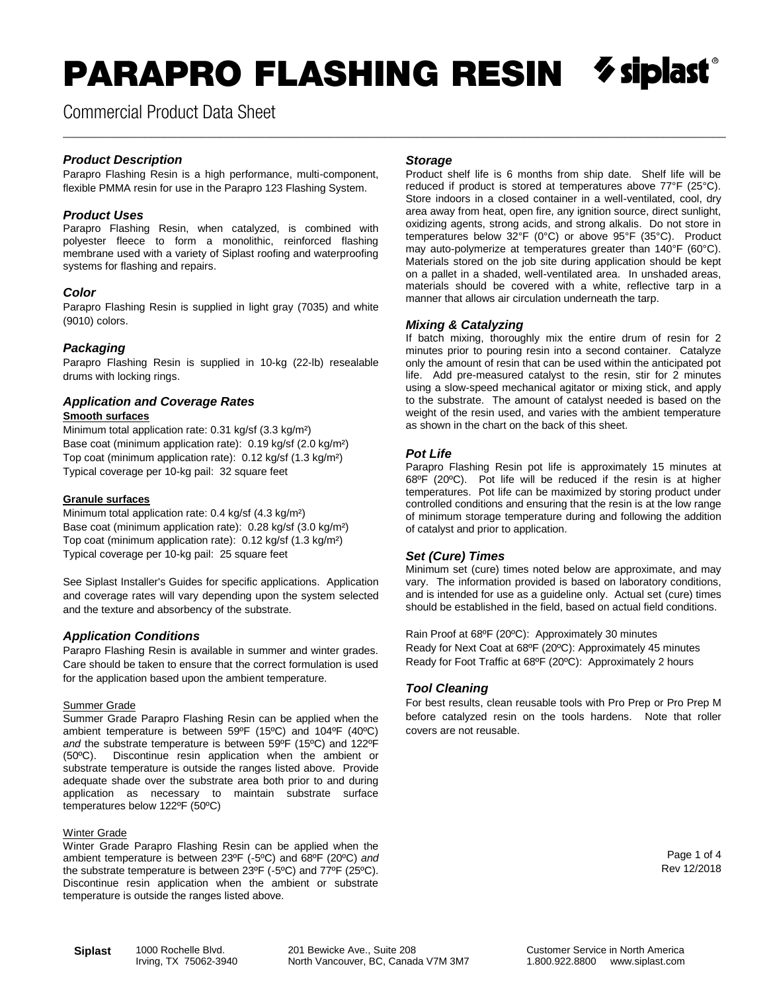# PARAPRO FLASHING RESIN

\_\_\_\_\_\_\_\_\_\_\_\_\_\_\_\_\_\_\_\_\_\_\_\_\_\_\_\_\_\_\_\_\_\_\_\_\_\_\_\_\_\_\_\_\_\_\_\_\_\_\_\_\_\_\_\_\_\_\_\_\_\_\_\_\_\_\_\_\_\_\_\_\_\_\_\_\_\_\_\_\_\_\_\_\_\_\_\_\_\_\_\_\_\_\_\_\_\_\_\_\_\_\_\_\_

Commercial Product Data Sheet

## *Product Description*

Parapro Flashing Resin is a high performance, multi-component, flexible PMMA resin for use in the Parapro 123 Flashing System.

#### *Product Uses*

Parapro Flashing Resin, when catalyzed, is combined with polyester fleece to form a monolithic, reinforced flashing membrane used with a variety of Siplast roofing and waterproofing systems for flashing and repairs.

#### *Color*

Parapro Flashing Resin is supplied in light gray (7035) and white (9010) colors.

#### *Packaging*

Parapro Flashing Resin is supplied in 10-kg (22-lb) resealable drums with locking rings.

## *Application and Coverage Rates*

#### **Smooth surfaces**

Minimum total application rate: 0.31 kg/sf (3.3 kg/m²) Base coat (minimum application rate): 0.19 kg/sf (2.0 kg/m²) Top coat (minimum application rate): 0.12 kg/sf (1.3 kg/m²) Typical coverage per 10-kg pail: 32 square feet

#### **Granule surfaces**

Minimum total application rate: 0.4 kg/sf (4.3 kg/m²) Base coat (minimum application rate): 0.28 kg/sf (3.0 kg/m²) Top coat (minimum application rate): 0.12 kg/sf (1.3 kg/m²) Typical coverage per 10-kg pail: 25 square feet

See Siplast Installer's Guides for specific applications. Application and coverage rates will vary depending upon the system selected and the texture and absorbency of the substrate.

#### *Application Conditions*

Parapro Flashing Resin is available in summer and winter grades. Care should be taken to ensure that the correct formulation is used for the application based upon the ambient temperature.

#### Summer Grade

Summer Grade Parapro Flashing Resin can be applied when the ambient temperature is between 59ºF (15ºC) and 104ºF (40ºC) *and* the substrate temperature is between 59ºF (15ºC) and 122ºF (50ºC). Discontinue resin application when the ambient or substrate temperature is outside the ranges listed above. Provide adequate shade over the substrate area both prior to and during application as necessary to maintain substrate surface temperatures below 122ºF (50ºC)

#### **Winter Grade**

Winter Grade Parapro Flashing Resin can be applied when the ambient temperature is between 23ºF (-5ºC) and 68ºF (20ºC) *and* the substrate temperature is between 23ºF (-5ºC) and 77ºF (25ºC). Discontinue resin application when the ambient or substrate temperature is outside the ranges listed above.

#### *Storage*

Product shelf life is 6 months from ship date. Shelf life will be reduced if product is stored at temperatures above 77°F (25°C). Store indoors in a closed container in a well-ventilated, cool, dry area away from heat, open fire, any ignition source, direct sunlight, oxidizing agents, strong acids, and strong alkalis. Do not store in temperatures below 32°F (0°C) or above 95°F (35°C). Product may auto-polymerize at temperatures greater than 140°F (60°C). Materials stored on the job site during application should be kept on a pallet in a shaded, well-ventilated area. In unshaded areas, materials should be covered with a white, reflective tarp in a manner that allows air circulation underneath the tarp.

#### *Mixing & Catalyzing*

If batch mixing, thoroughly mix the entire drum of resin for 2 minutes prior to pouring resin into a second container. Catalyze only the amount of resin that can be used within the anticipated pot life. Add pre-measured catalyst to the resin, stir for 2 minutes using a slow-speed mechanical agitator or mixing stick, and apply to the substrate. The amount of catalyst needed is based on the weight of the resin used, and varies with the ambient temperature as shown in the chart on the back of this sheet.

#### *Pot Life*

Parapro Flashing Resin pot life is approximately 15 minutes at 68ºF (20ºC). Pot life will be reduced if the resin is at higher temperatures. Pot life can be maximized by storing product under controlled conditions and ensuring that the resin is at the low range of minimum storage temperature during and following the addition of catalyst and prior to application.

## *Set (Cure) Times*

Minimum set (cure) times noted below are approximate, and may vary. The information provided is based on laboratory conditions, and is intended for use as a guideline only. Actual set (cure) times should be established in the field, based on actual field conditions.

Rain Proof at 68ºF (20ºC): Approximately 30 minutes Ready for Next Coat at 68ºF (20ºC): Approximately 45 minutes Ready for Foot Traffic at 68ºF (20ºC): Approximately 2 hours

## *Tool Cleaning*

For best results, clean reusable tools with Pro Prep or Pro Prep M before catalyzed resin on the tools hardens. Note that roller covers are not reusable.

> Page 1 of 4 Rev 12/2018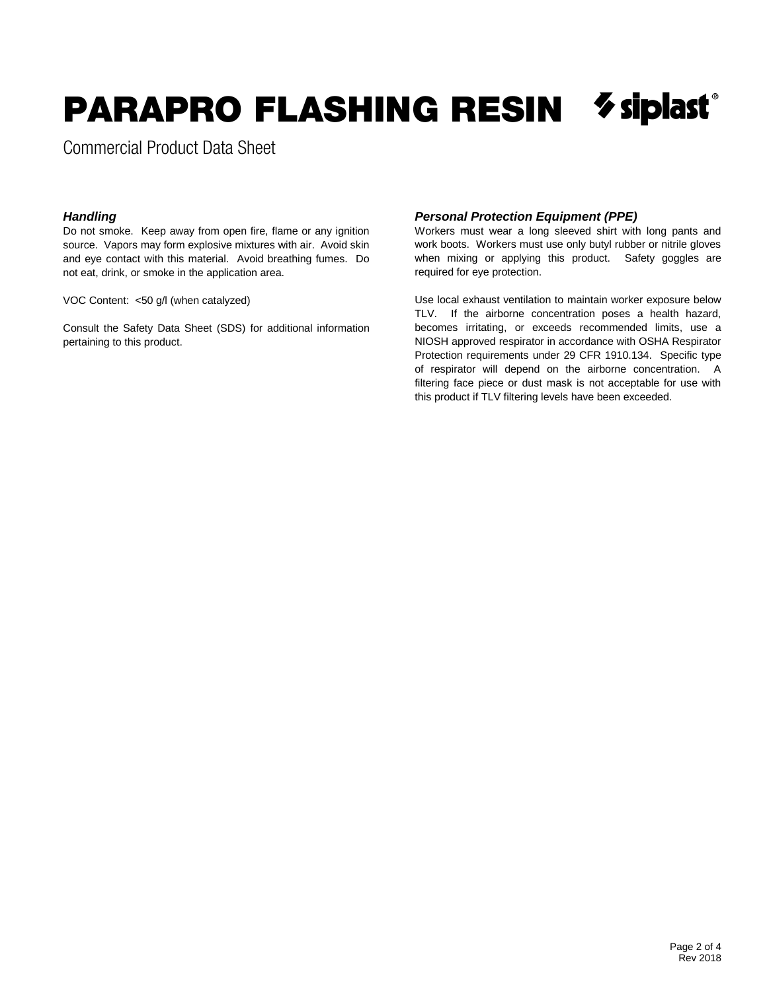# $\boldsymbol{\diamond}$  siplast PARAPRO FLASHING RESIN

Commercial Product Data Sheet

## *Handling*

Do not smoke. Keep away from open fire, flame or any ignition source. Vapors may form explosive mixtures with air. Avoid skin and eye contact with this material. Avoid breathing fumes. Do not eat, drink, or smoke in the application area.

VOC Content: <50 g/l (when catalyzed)

Consult the Safety Data Sheet (SDS) for additional information pertaining to this product.

## *Personal Protection Equipment (PPE)*

Workers must wear a long sleeved shirt with long pants and work boots. Workers must use only butyl rubber or nitrile gloves when mixing or applying this product. Safety goggles are required for eye protection.

Use local exhaust ventilation to maintain worker exposure below TLV. If the airborne concentration poses a health hazard, becomes irritating, or exceeds recommended limits, use a NIOSH approved respirator in accordance with OSHA Respirator Protection requirements under 29 CFR 1910.134. Specific type of respirator will depend on the airborne concentration. A filtering face piece or dust mask is not acceptable for use with this product if TLV filtering levels have been exceeded.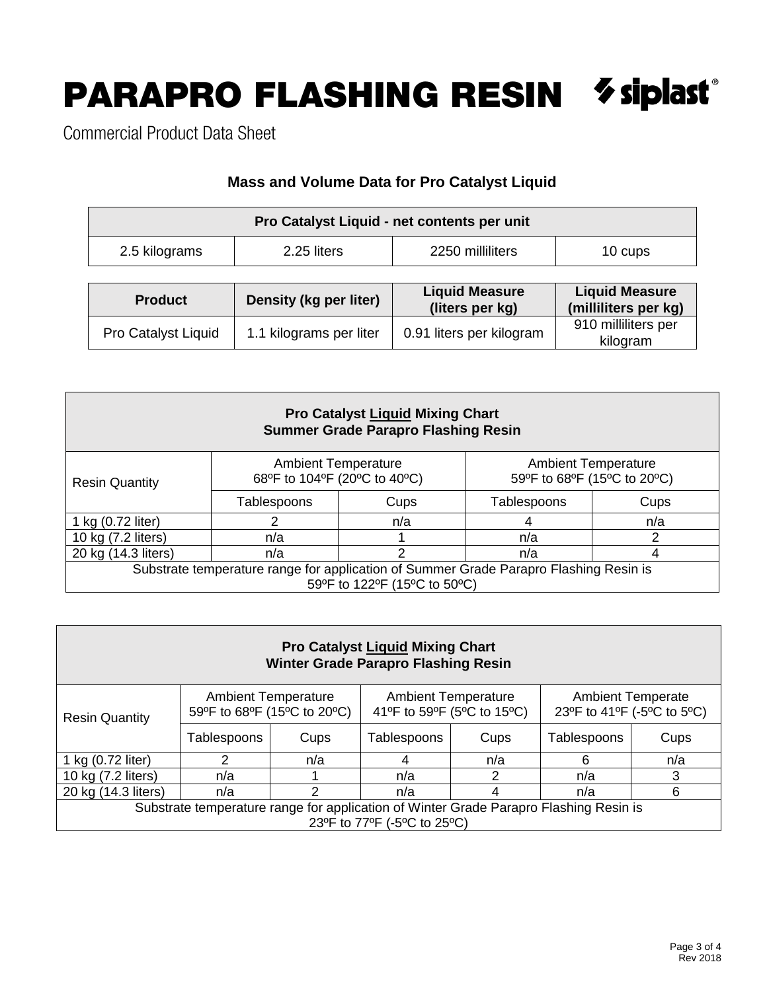# PARAPRO FLASHING RESIN  $\delta$  siplast®

Commercial Product Data Sheet

# **Mass and Volume Data for Pro Catalyst Liquid**

| Pro Catalyst Liquid - net contents per unit |             |                  |         |  |  |  |  |  |
|---------------------------------------------|-------------|------------------|---------|--|--|--|--|--|
| 2.5 kilograms                               | 2.25 liters | 2250 milliliters | 10 cups |  |  |  |  |  |

| <b>Product</b>             | Density (kg per liter)  | <b>Liquid Measure</b><br>(liters per kg) | <b>Liquid Measure</b><br>(milliliters per kg) |  |  |
|----------------------------|-------------------------|------------------------------------------|-----------------------------------------------|--|--|
| <b>Pro Catalyst Liquid</b> | 1.1 kilograms per liter | 0.91 liters per kilogram                 | 910 milliliters per<br>kilogram               |  |  |

| <b>Pro Catalyst Liquid Mixing Chart</b><br><b>Summer Grade Parapro Flashing Resin</b>                                 |                                                            |     |                                                           |      |  |  |  |  |  |
|-----------------------------------------------------------------------------------------------------------------------|------------------------------------------------------------|-----|-----------------------------------------------------------|------|--|--|--|--|--|
| <b>Resin Quantity</b>                                                                                                 | <b>Ambient Temperature</b><br>68°F to 104°F (20°C to 40°C) |     | <b>Ambient Temperature</b><br>59°F to 68°F (15°C to 20°C) |      |  |  |  |  |  |
|                                                                                                                       | Tablespoons<br>Cups                                        |     | Tablespoons                                               | Cups |  |  |  |  |  |
| 1 kg (0.72 liter)                                                                                                     |                                                            | n/a |                                                           | n/a  |  |  |  |  |  |
| 10 kg (7.2 liters)                                                                                                    | n/a                                                        |     | n/a                                                       | ົ    |  |  |  |  |  |
| 20 kg (14.3 liters)                                                                                                   | n/a                                                        | n/a | 4                                                         |      |  |  |  |  |  |
| Substrate temperature range for application of Summer Grade Parapro Flashing Resin is<br>59°F to 122°F (15°C to 50°C) |                                                            |     |                                                           |      |  |  |  |  |  |

| <b>Pro Catalyst Liquid Mixing Chart</b><br><b>Winter Grade Parapro Flashing Resin</b>                                |                                                           |     |                                                          |      |                                                        |      |  |  |  |
|----------------------------------------------------------------------------------------------------------------------|-----------------------------------------------------------|-----|----------------------------------------------------------|------|--------------------------------------------------------|------|--|--|--|
| <b>Resin Quantity</b>                                                                                                | <b>Ambient Temperature</b><br>59°F to 68°F (15°C to 20°C) |     | <b>Ambient Temperature</b><br>41°F to 59°F (5°C to 15°C) |      | <b>Ambient Temperate</b><br>23°F to 41°F (-5°C to 5°C) |      |  |  |  |
|                                                                                                                      | Tablespoons<br>Cups                                       |     | Tablespoons                                              | Cups |                                                        | Cups |  |  |  |
| 1 kg (0.72 liter)                                                                                                    | 2                                                         | n/a |                                                          | n/a  | 6                                                      | n/a  |  |  |  |
| 10 kg (7.2 liters)                                                                                                   | n/a                                                       |     | n/a                                                      | 2    | n/a                                                    | 3    |  |  |  |
| 20 kg (14.3 liters)                                                                                                  | n/a                                                       | っ   | 6<br>n/a<br>n/a                                          |      |                                                        |      |  |  |  |
| Substrate temperature range for application of Winter Grade Parapro Flashing Resin is<br>23°F to 77°F (-5°C to 25°C) |                                                           |     |                                                          |      |                                                        |      |  |  |  |